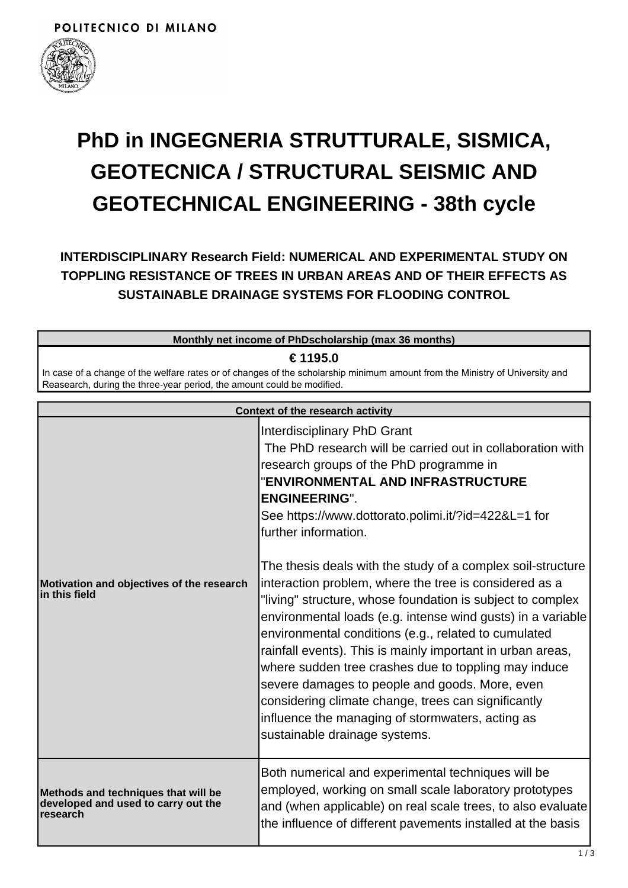

# **PhD in INGEGNERIA STRUTTURALE, SISMICA, GEOTECNICA / STRUCTURAL SEISMIC AND GEOTECHNICAL ENGINEERING - 38th cycle**

**INTERDISCIPLINARY Research Field: NUMERICAL AND EXPERIMENTAL STUDY ON TOPPLING RESISTANCE OF TREES IN URBAN AREAS AND OF THEIR EFFECTS AS SUSTAINABLE DRAINAGE SYSTEMS FOR FLOODING CONTROL**

| Monthly net income of PhDscholarship (max 36 months)                                                                                                                                                   |                                                                                                                                                                                                                                                                                         |  |
|--------------------------------------------------------------------------------------------------------------------------------------------------------------------------------------------------------|-----------------------------------------------------------------------------------------------------------------------------------------------------------------------------------------------------------------------------------------------------------------------------------------|--|
| € 1195.0                                                                                                                                                                                               |                                                                                                                                                                                                                                                                                         |  |
| In case of a change of the welfare rates or of changes of the scholarship minimum amount from the Ministry of University and<br>Reasearch, during the three-year period, the amount could be modified. |                                                                                                                                                                                                                                                                                         |  |
| Context of the research activity                                                                                                                                                                       |                                                                                                                                                                                                                                                                                         |  |
|                                                                                                                                                                                                        | <b>Interdisciplinary PhD Grant</b><br>The PhD research will be carried out in collaboration with<br>research groups of the PhD programme in<br>"ENVIRONMENTAL AND INFRASTRUCTURE<br><b>ENGINEERING".</b><br>See https://www.dottorato.polimi.it/?id=422&L=1 for<br>further information. |  |

|                                                                                        | <b>ENGINEERING".</b><br>See https://www.dottorato.polimi.it/?id=422&L=1 for<br>further information.                                                                                                                                                                                                                                                                                                                                                                                                                                                                                                                            |
|----------------------------------------------------------------------------------------|--------------------------------------------------------------------------------------------------------------------------------------------------------------------------------------------------------------------------------------------------------------------------------------------------------------------------------------------------------------------------------------------------------------------------------------------------------------------------------------------------------------------------------------------------------------------------------------------------------------------------------|
| Motivation and objectives of the research<br>lin this field                            | The thesis deals with the study of a complex soil-structure<br>interaction problem, where the tree is considered as a<br>"living" structure, whose foundation is subject to complex<br>environmental loads (e.g. intense wind gusts) in a variable<br>environmental conditions (e.g., related to cumulated<br>rainfall events). This is mainly important in urban areas,<br>where sudden tree crashes due to toppling may induce<br>severe damages to people and goods. More, even<br>considering climate change, trees can significantly<br>influence the managing of stormwaters, acting as<br>sustainable drainage systems. |
| Methods and techniques that will be<br>developed and used to carry out the<br>research | Both numerical and experimental techniques will be<br>employed, working on small scale laboratory prototypes<br>and (when applicable) on real scale trees, to also evaluate<br>the influence of different pavements installed at the basis                                                                                                                                                                                                                                                                                                                                                                                     |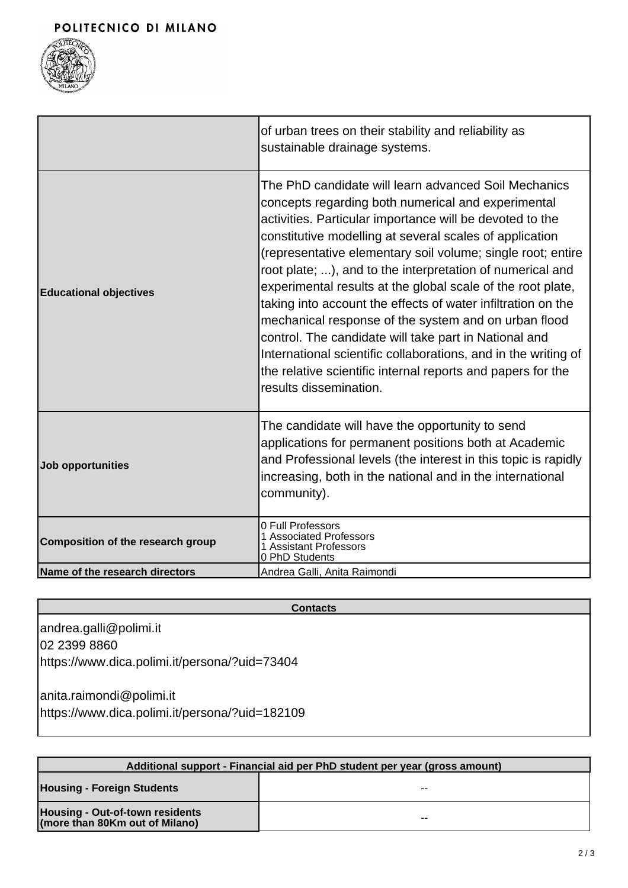

|                                          | of urban trees on their stability and reliability as<br>sustainable drainage systems.                                                                                                                                                                                                                                                                                                                                                                                                                                                                                                                                                                                                                                                                                    |
|------------------------------------------|--------------------------------------------------------------------------------------------------------------------------------------------------------------------------------------------------------------------------------------------------------------------------------------------------------------------------------------------------------------------------------------------------------------------------------------------------------------------------------------------------------------------------------------------------------------------------------------------------------------------------------------------------------------------------------------------------------------------------------------------------------------------------|
| <b>Educational objectives</b>            | The PhD candidate will learn advanced Soil Mechanics<br>concepts regarding both numerical and experimental<br>activities. Particular importance will be devoted to the<br>constitutive modelling at several scales of application<br>(representative elementary soil volume; single root; entire<br>root plate; ), and to the interpretation of numerical and<br>experimental results at the global scale of the root plate,<br>taking into account the effects of water infiltration on the<br>mechanical response of the system and on urban flood<br>control. The candidate will take part in National and<br>International scientific collaborations, and in the writing of<br>the relative scientific internal reports and papers for the<br>results dissemination. |
| <b>Job opportunities</b>                 | The candidate will have the opportunity to send<br>applications for permanent positions both at Academic<br>and Professional levels (the interest in this topic is rapidly<br>increasing, both in the national and in the international<br>community).                                                                                                                                                                                                                                                                                                                                                                                                                                                                                                                   |
| <b>Composition of the research group</b> | 0 Full Professors<br>1 Associated Professors<br>1 Assistant Professors<br>0 PhD Students                                                                                                                                                                                                                                                                                                                                                                                                                                                                                                                                                                                                                                                                                 |
| Name of the research directors           | Andrea Galli, Anita Raimondi                                                                                                                                                                                                                                                                                                                                                                                                                                                                                                                                                                                                                                                                                                                                             |

#### **Contacts**

andrea.galli@polimi.it 02 2399 8860 https://www.dica.polimi.it/persona/?uid=73404

anita.raimondi@polimi.it https://www.dica.polimi.it/persona/?uid=182109

| Additional support - Financial aid per PhD student per year (gross amount) |    |
|----------------------------------------------------------------------------|----|
| <b>Housing - Foreign Students</b>                                          | -- |
| <b>Housing - Out-of-town residents</b><br>(more than 80Km out of Milano)   | -- |